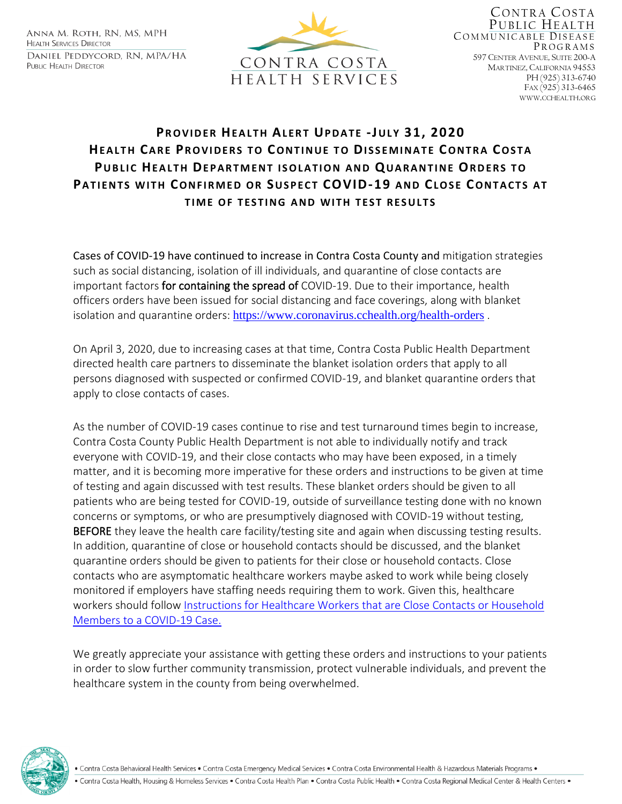ANNA M. ROTH, RN, MS, MPH **HEALTH SERVICES DIRECTOR** DANIEL PEDDYCORD, RN, MPA/HA PUBLIC HEALTH DIRECTOR



CONTRA COSTA PUBLIC HEALTH COMMUNICABLE DISEASE PROGRAMS 597 CENTER AVENUE, SUITE 200-A MARTINEZ, CALIFORNIA 94553 PH (925) 313-6740 FAX (925) 313-6465 WWW.CCHEALTH.ORG

## **PR O V I D E R HE A L T H AL E R T UP D A T E -JU L Y 31, 2020 HEALTH CARE PROVIDERS TO CONTINUE TO DISSEMINATE CONTRA COSTA PUBLIC HEALTH DEPARTMENT ISOLATION AND QUARANTINE ORDERS TO PATIENTS WITH CONFIRMED OR SUSPECT COVID-19 AND CLOSE CONTACTS AT TIME OF TESTING AND WITH TEST RESULTS**

Cases of COVID-19 have continued to increase in Contra Costa County and mitigation strategies such as social distancing, isolation of ill individuals, and quarantine of close contacts are important factors for containing the spread of COVID-19. Due to their importance, health officers orders have been issued for social distancing and face coverings, along with blanket isolation and quarantine orders: <https://www.coronavirus.cchealth.org/health-orders>.

On April 3, 2020, due to increasing cases at that time, Contra Costa Public Health Department directed health care partners to disseminate the blanket isolation orders that apply to all persons diagnosed with suspected or confirmed COVID-19, and blanket quarantine orders that apply to close contacts of cases.

As the number of COVID-19 cases continue to rise and test turnaround times begin to increase, Contra Costa County Public Health Department is not able to individually notify and track everyone with COVID-19, and their close contacts who may have been exposed, in a timely matter, and it is becoming more imperative for these orders and instructions to be given at time of testing and again discussed with test results. These blanket orders should be given to all patients who are being tested for COVID-19, outside of surveillance testing done with no known concerns or symptoms, or who are presumptively diagnosed with COVID-19 without testing, BEFORE they leave the health care facility/testing site and again when discussing testing results. In addition, quarantine of close or household contacts should be discussed, and the blanket quarantine orders should be given to patients for their close or household contacts. Close contacts who are asymptomatic healthcare workers maybe asked to work while being closely monitored if employers have staffing needs requiring them to work. Given this, healthcare workers should follow [Instructions for Healthcare Workers that are Close Contacts or Household](https://813dcad3-2b07-4f3f-a25e-23c48c566922.filesusr.com/ugd/84606e_4ed71b64e39941d6807adab1ed185a13.pdf)  [Members to a COVID-19 Case.](https://813dcad3-2b07-4f3f-a25e-23c48c566922.filesusr.com/ugd/84606e_4ed71b64e39941d6807adab1ed185a13.pdf)

We greatly appreciate your assistance with getting these orders and instructions to your patients in order to slow further community transmission, protect vulnerable individuals, and prevent the healthcare system in the county from being overwhelmed.